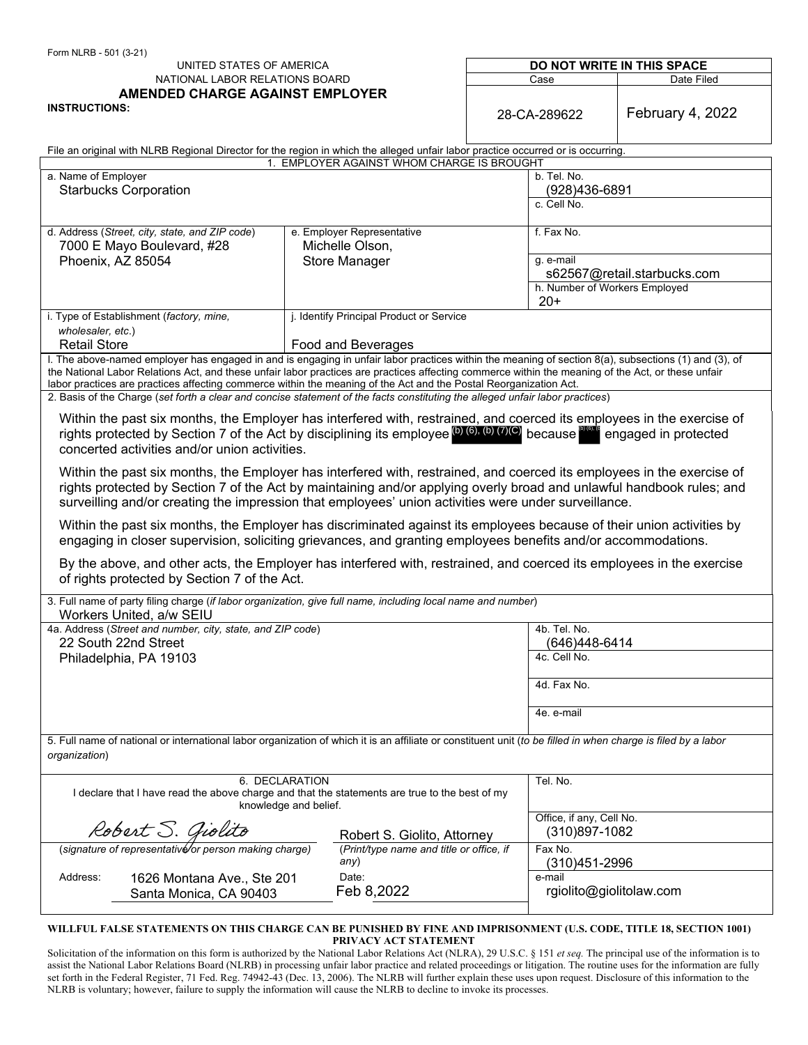| Form NLRB - 501 (3-21)                                                                                                                                                         |                                          |                            |                               |  |
|--------------------------------------------------------------------------------------------------------------------------------------------------------------------------------|------------------------------------------|----------------------------|-------------------------------|--|
| UNITED STATES OF AMERICA                                                                                                                                                       |                                          | DO NOT WRITE IN THIS SPACE |                               |  |
| NATIONAL LABOR RELATIONS BOARD                                                                                                                                                 |                                          | Case                       | Date Filed                    |  |
| <b>AMENDED CHARGE AGAINST EMPLOYER</b><br><b>INSTRUCTIONS:</b>                                                                                                                 |                                          | 28-CA-289622               | February 4, 2022              |  |
|                                                                                                                                                                                |                                          |                            |                               |  |
| File an original with NLRB Regional Director for the region in which the alleged unfair labor practice occurred or is occurring.<br>1. EMPLOYER AGAINST WHOM CHARGE IS BROUGHT |                                          |                            |                               |  |
| a. Name of Employer<br>b. Tel. No.                                                                                                                                             |                                          |                            |                               |  |
| <b>Starbucks Corporation</b>                                                                                                                                                   |                                          |                            | (928)436-6891                 |  |
|                                                                                                                                                                                |                                          | c. Cell No.                |                               |  |
|                                                                                                                                                                                |                                          |                            |                               |  |
| d. Address (Street, city, state, and ZIP code)                                                                                                                                 | e. Employer Representative               | f. Fax No.                 |                               |  |
| 7000 E Mayo Boulevard, #28                                                                                                                                                     | Michelle Olson,                          |                            |                               |  |
| Phoenix, AZ 85054                                                                                                                                                              | <b>Store Manager</b>                     |                            | g. e-mail                     |  |
|                                                                                                                                                                                |                                          |                            | s62567@retail.starbucks.com   |  |
|                                                                                                                                                                                |                                          |                            | h. Number of Workers Employed |  |
|                                                                                                                                                                                |                                          | $20+$                      |                               |  |
| j. Identify Principal Product or Service<br>i. Type of Establishment (factory, mine,                                                                                           |                                          |                            |                               |  |
| wholesaler, etc.)                                                                                                                                                              |                                          |                            |                               |  |
| <b>Retail Store</b>                                                                                                                                                            | Food and Beverages                       |                            |                               |  |
| I. The above-named employer has engaged in and is engaging in unfair labor practices within the meaning of section 8(a), subsections (1) and (3), of                           |                                          |                            |                               |  |
| the National Labor Relations Act, and these unfair labor practices are practices affecting commerce within the meaning of the Act, or these unfair                             |                                          |                            |                               |  |
| labor practices are practices affecting commerce within the meaning of the Act and the Postal Reorganization Act.                                                              |                                          |                            |                               |  |
| 2. Basis of the Charge (set forth a clear and concise statement of the facts constituting the alleged unfair labor practices)                                                  |                                          |                            |                               |  |
| Within the past six months, the Employer has interfered with, restrained, and coerced its employees in the exercise of                                                         |                                          |                            |                               |  |
| rights protected by Section 7 of the Act by disciplining its employee (b) (6), (b) (7)(C) because bless<br>engaged in protected                                                |                                          |                            |                               |  |
|                                                                                                                                                                                |                                          |                            |                               |  |
| concerted activities and/or union activities.                                                                                                                                  |                                          |                            |                               |  |
| Within the past six months, the Employer has interfered with, restrained, and coerced its employees in the exercise of                                                         |                                          |                            |                               |  |
| rights protected by Section 7 of the Act by maintaining and/or applying overly broad and unlawful handbook rules; and                                                          |                                          |                            |                               |  |
| surveilling and/or creating the impression that employees' union activities were under surveillance.                                                                           |                                          |                            |                               |  |
|                                                                                                                                                                                |                                          |                            |                               |  |
| Within the past six months, the Employer has discriminated against its employees because of their union activities by                                                          |                                          |                            |                               |  |
| engaging in closer supervision, soliciting grievances, and granting employees benefits and/or accommodations.                                                                  |                                          |                            |                               |  |
|                                                                                                                                                                                |                                          |                            |                               |  |
| By the above, and other acts, the Employer has interfered with, restrained, and coerced its employees in the exercise                                                          |                                          |                            |                               |  |
| of rights protected by Section 7 of the Act.                                                                                                                                   |                                          |                            |                               |  |
| 3. Full name of party filing charge (if labor organization, give full name, including local name and number)                                                                   |                                          |                            |                               |  |
| Workers United, a/w SEIU                                                                                                                                                       |                                          |                            |                               |  |
| 4a. Address (Street and number, city, state, and ZIP code)                                                                                                                     |                                          | $4b.$ Tel. No.             |                               |  |
| 22 South 22nd Street                                                                                                                                                           |                                          |                            | (646)448-6414                 |  |
| Philadelphia, PA 19103                                                                                                                                                         |                                          | 4c. Cell No.               |                               |  |
|                                                                                                                                                                                |                                          |                            |                               |  |
|                                                                                                                                                                                |                                          | 4d. Fax No.                |                               |  |
|                                                                                                                                                                                |                                          |                            |                               |  |
|                                                                                                                                                                                |                                          | 4e. e-mail                 |                               |  |
|                                                                                                                                                                                |                                          |                            |                               |  |
| 5. Full name of national or international labor organization of which it is an affiliate or constituent unit (to be filled in when charge is filed by a labor                  |                                          |                            |                               |  |
| organization)                                                                                                                                                                  |                                          |                            |                               |  |
|                                                                                                                                                                                |                                          | Tel. No.                   |                               |  |
| 6. DECLARATION<br>I declare that I have read the above charge and that the statements are true to the best of my<br>knowledge and belief.                                      |                                          |                            |                               |  |
|                                                                                                                                                                                |                                          |                            |                               |  |
|                                                                                                                                                                                |                                          | Office, if any, Cell No.   |                               |  |
| Robert S. Giolito                                                                                                                                                              | Robert S. Giolito, Attorney              |                            | (310)897-1082                 |  |
| (signature of representative/or person making charge)                                                                                                                          | (Print/type name and title or office, if | Fax No.                    |                               |  |
|                                                                                                                                                                                | any)                                     |                            | (310)451-2996                 |  |
| Address:                                                                                                                                                                       | Date:                                    | e-mail                     |                               |  |
| 1626 Montana Ave., Ste 201                                                                                                                                                     | Feb 8,2022                               |                            | rgiolito@giolitolaw.com       |  |
| Santa Monica, CA 90403                                                                                                                                                         |                                          |                            |                               |  |
|                                                                                                                                                                                |                                          |                            |                               |  |
| WILLFUL FALSE STATEMENTS ON THIS CHARGE CAN BE PUNISHED BY FINE AND IMPRISONMENT (U.S. CODE, TITLE 18, SECTION 1001)                                                           |                                          |                            |                               |  |

**PRIVACY ACT STATEMENT** 

Solicitation of the information on this form is authorized by the National Labor Relations Act (NLRA), 29 U.S.C. § 151 *et seq.* The principal use of the information is to assist the National Labor Relations Board (NLRB) in processing unfair labor practice and related proceedings or litigation. The routine uses for the information are fully set forth in the Federal Register, 71 Fed. Reg. 74942-43 (Dec. 13, 2006). The NLRB will further explain these uses upon request. Disclosure of this information to the NLRB is voluntary; however, failure to supply the information will cause the NLRB to decline to invoke its processes.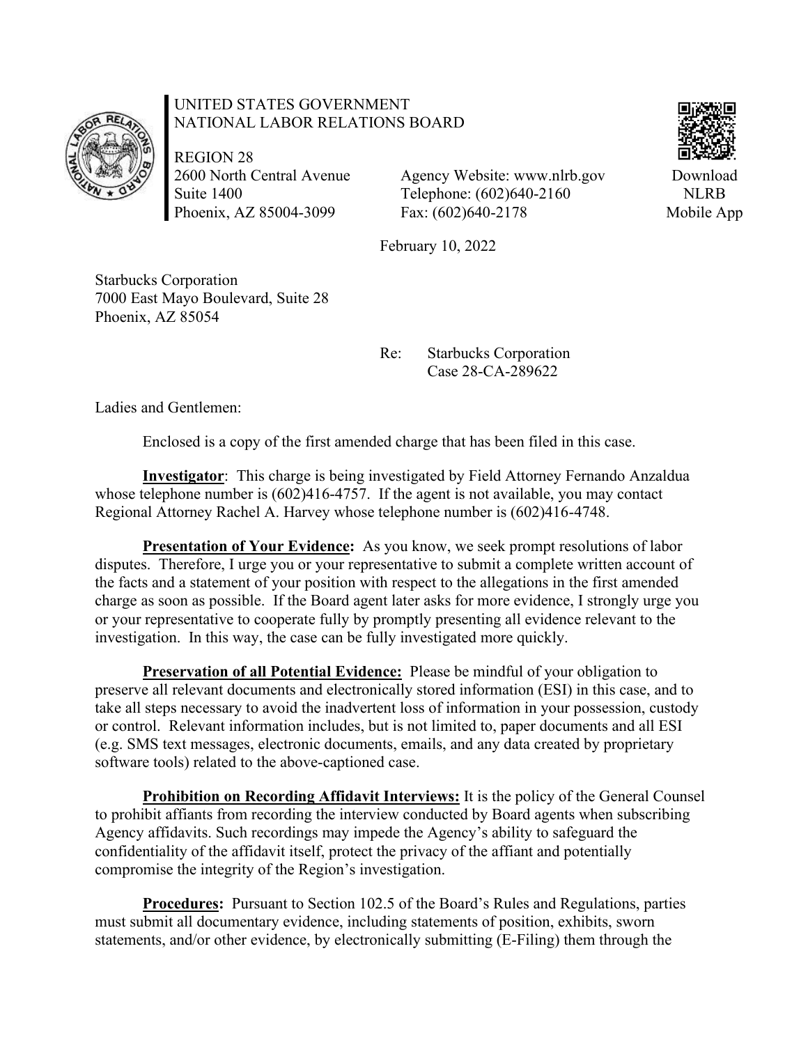

## UNITED STATES GOVERNMENT NATIONAL LABOR RELATIONS BOARD

REGION 28 2600 North Central Avenue Suite 1400 Phoenix, AZ 85004-3099

Agency Website: www.nlrb.gov Telephone: (602)640-2160 Fax: (602)640-2178

February 10, 2022

Starbucks Corporation 7000 East Mayo Boulevard, Suite 28 Phoenix, AZ 85054

> Re: Starbucks Corporation Case 28-CA-289622

Ladies and Gentlemen:

Enclosed is a copy of the first amended charge that has been filed in this case.

**Investigator**: This charge is being investigated by Field Attorney Fernando Anzaldua whose telephone number is  $(602)416-4757$ . If the agent is not available, you may contact Regional Attorney Rachel A. Harvey whose telephone number is (602)416-4748.

**Presentation of Your Evidence:** As you know, we seek prompt resolutions of labor disputes. Therefore, I urge you or your representative to submit a complete written account of the facts and a statement of your position with respect to the allegations in the first amended charge as soon as possible. If the Board agent later asks for more evidence, I strongly urge you or your representative to cooperate fully by promptly presenting all evidence relevant to the investigation. In this way, the case can be fully investigated more quickly.

**Preservation of all Potential Evidence:** Please be mindful of your obligation to preserve all relevant documents and electronically stored information (ESI) in this case, and to take all steps necessary to avoid the inadvertent loss of information in your possession, custody or control. Relevant information includes, but is not limited to, paper documents and all ESI (e.g. SMS text messages, electronic documents, emails, and any data created by proprietary software tools) related to the above-captioned case.

**Prohibition on Recording Affidavit Interviews:** It is the policy of the General Counsel to prohibit affiants from recording the interview conducted by Board agents when subscribing Agency affidavits. Such recordings may impede the Agency's ability to safeguard the confidentiality of the affidavit itself, protect the privacy of the affiant and potentially compromise the integrity of the Region's investigation.

**Procedures:** Pursuant to Section 102.5 of the Board's Rules and Regulations, parties must submit all documentary evidence, including statements of position, exhibits, sworn statements, and/or other evidence, by electronically submitting (E-Filing) them through the



Download NLRB Mobile App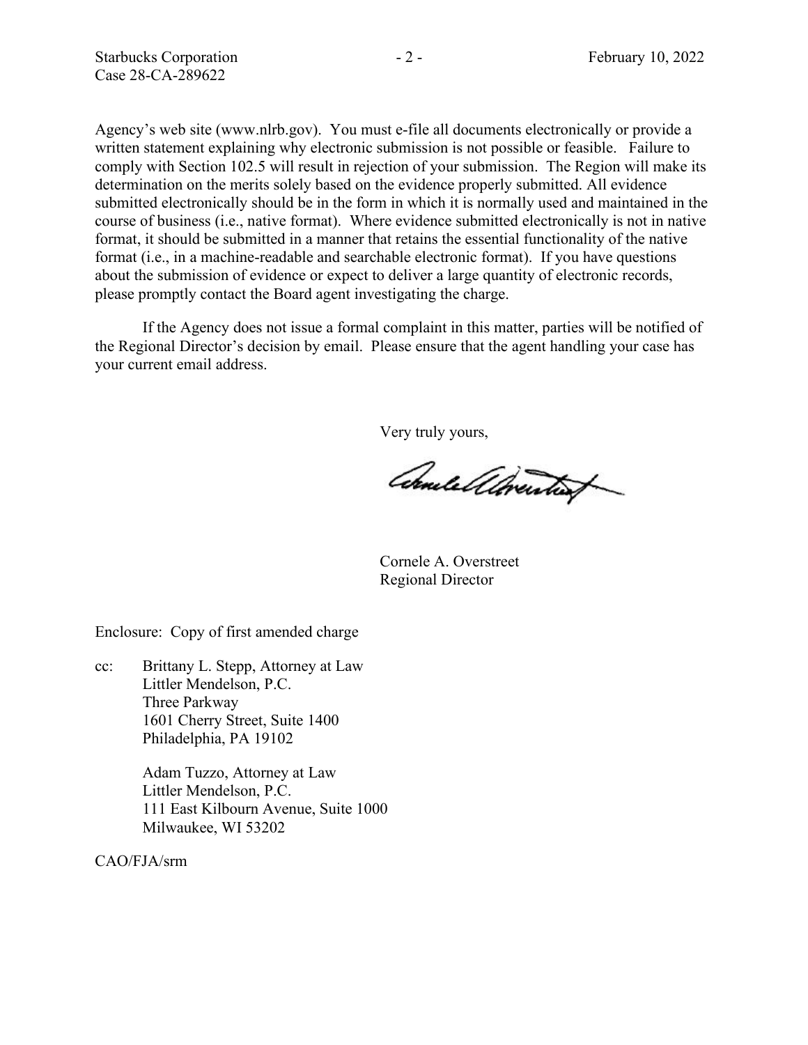Agency's web site (www.nlrb.gov). You must e-file all documents electronically or provide a written statement explaining why electronic submission is not possible or feasible. Failure to comply with Section 102.5 will result in rejection of your submission. The Region will make its determination on the merits solely based on the evidence properly submitted. All evidence submitted electronically should be in the form in which it is normally used and maintained in the course of business (i.e., native format). Where evidence submitted electronically is not in native format, it should be submitted in a manner that retains the essential functionality of the native format (i.e., in a machine-readable and searchable electronic format). If you have questions about the submission of evidence or expect to deliver a large quantity of electronic records, please promptly contact the Board agent investigating the charge.

If the Agency does not issue a formal complaint in this matter, parties will be notified of the Regional Director's decision by email. Please ensure that the agent handling your case has your current email address.

Very truly yours,

Comelellorenties

Cornele A. Overstreet Regional Director

Enclosure: Copy of first amended charge

cc: Brittany L. Stepp, Attorney at Law Littler Mendelson, P.C. Three Parkway 1601 Cherry Street, Suite 1400 Philadelphia, PA 19102

> Adam Tuzzo, Attorney at Law Littler Mendelson, P.C. 111 East Kilbourn Avenue, Suite 1000 Milwaukee, WI 53202

CAO/FJA/srm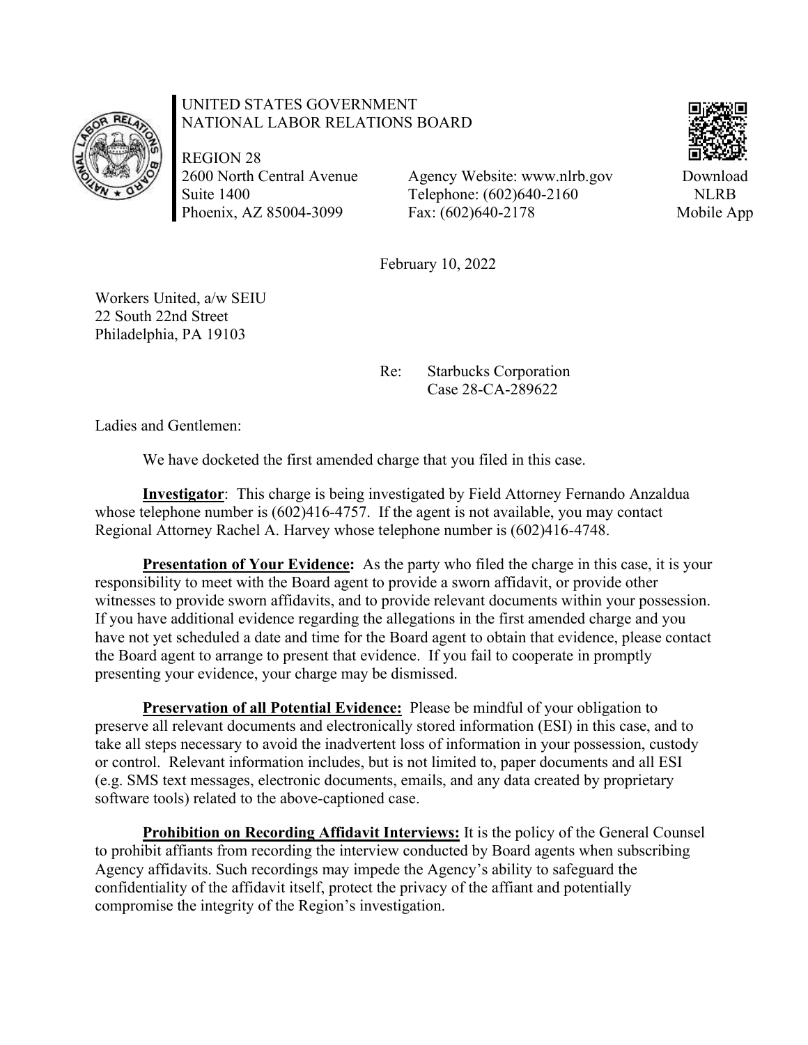

## UNITED STATES GOVERNMENT NATIONAL LABOR RELATIONS BOARD

REGION 28 2600 North Central Avenue Suite 1400 Phoenix, AZ 85004-3099

Agency Website: www.nlrb.gov Telephone: (602)640-2160 Fax: (602)640-2178



Download NLRB Mobile App

February 10, 2022

Workers United, a/w SEIU 22 South 22nd Street Philadelphia, PA 19103

> Re: Starbucks Corporation Case 28-CA-289622

Ladies and Gentlemen:

We have docketed the first amended charge that you filed in this case.

**Investigator**: This charge is being investigated by Field Attorney Fernando Anzaldua whose telephone number is  $(602)416-4757$ . If the agent is not available, you may contact Regional Attorney Rachel A. Harvey whose telephone number is (602)416-4748.

**Presentation of Your Evidence:** As the party who filed the charge in this case, it is your responsibility to meet with the Board agent to provide a sworn affidavit, or provide other witnesses to provide sworn affidavits, and to provide relevant documents within your possession. If you have additional evidence regarding the allegations in the first amended charge and you have not yet scheduled a date and time for the Board agent to obtain that evidence, please contact the Board agent to arrange to present that evidence. If you fail to cooperate in promptly presenting your evidence, your charge may be dismissed.

**Preservation of all Potential Evidence:** Please be mindful of your obligation to preserve all relevant documents and electronically stored information (ESI) in this case, and to take all steps necessary to avoid the inadvertent loss of information in your possession, custody or control. Relevant information includes, but is not limited to, paper documents and all ESI (e.g. SMS text messages, electronic documents, emails, and any data created by proprietary software tools) related to the above-captioned case.

**Prohibition on Recording Affidavit Interviews:** It is the policy of the General Counsel to prohibit affiants from recording the interview conducted by Board agents when subscribing Agency affidavits. Such recordings may impede the Agency's ability to safeguard the confidentiality of the affidavit itself, protect the privacy of the affiant and potentially compromise the integrity of the Region's investigation.